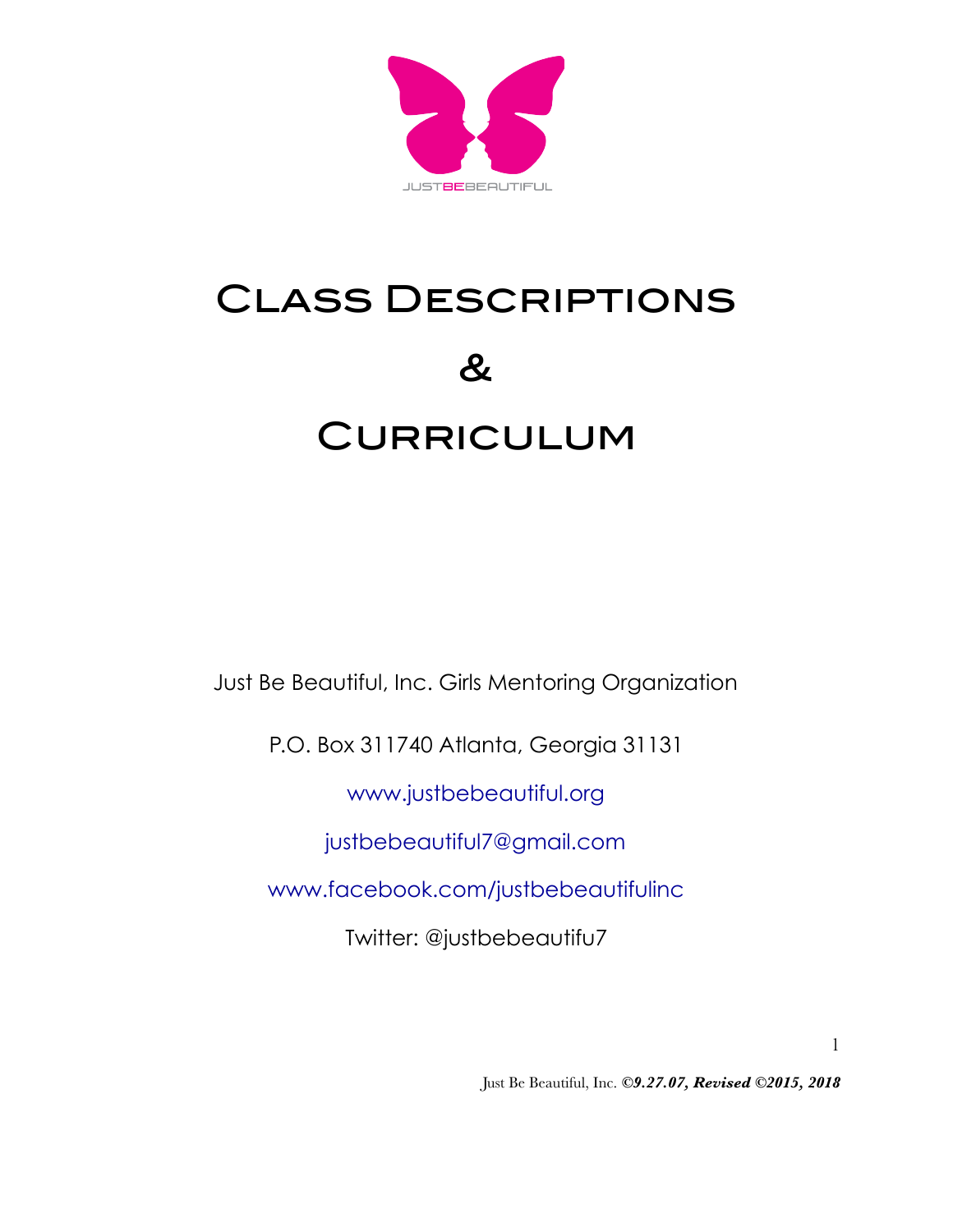

# Class Descriptions  $\boldsymbol{\mathcal{R}}$ **CURRICULUM**

Just Be Beautiful, Inc. Girls Mentoring Organization

P.O. Box 311740 Atlanta, Georgia 31131

www.justbebeautiful.org

justbebeautiful7@gmail.com

www.facebook.com/justbebeautifulinc

Twitter: @justbebeautifu7

1

Just Be Beautiful, Inc. *©9.27.07, Revised ©2015, 2018*